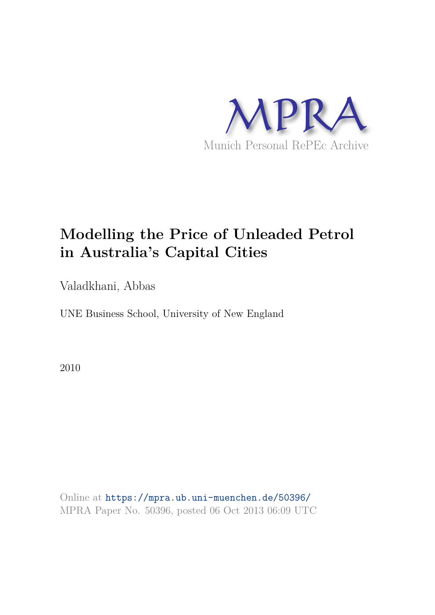

# **Modelling the Price of Unleaded Petrol in Australia's Capital Cities**

Valadkhani, Abbas

UNE Business School, University of New England

2010

Online at https://mpra.ub.uni-muenchen.de/50396/ MPRA Paper No. 50396, posted 06 Oct 2013 06:09 UTC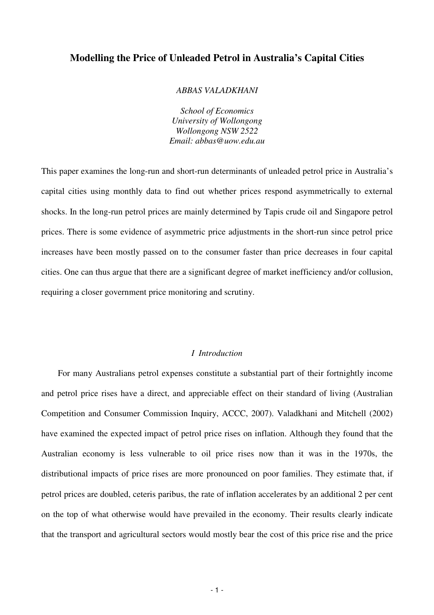# **Modelling the Price of Unleaded Petrol in Australia's Capital Cities**

#### *ABBAS VALADKHANI*

*School of Economics University of Wollongong Wollongong NSW 2522 Email: abbas@uow.edu.au* 

This paper examines the long-run and short-run determinants of unleaded petrol price in Australia's capital cities using monthly data to find out whether prices respond asymmetrically to external shocks. In the long-run petrol prices are mainly determined by Tapis crude oil and Singapore petrol prices. There is some evidence of asymmetric price adjustments in the short-run since petrol price increases have been mostly passed on to the consumer faster than price decreases in four capital cities. One can thus argue that there are a significant degree of market inefficiency and/or collusion, requiring a closer government price monitoring and scrutiny.

## *I Introduction*

For many Australians petrol expenses constitute a substantial part of their fortnightly income and petrol price rises have a direct, and appreciable effect on their standard of living (Australian Competition and Consumer Commission Inquiry, ACCC, 2007). Valadkhani and Mitchell (2002) have examined the expected impact of petrol price rises on inflation. Although they found that the Australian economy is less vulnerable to oil price rises now than it was in the 1970s, the distributional impacts of price rises are more pronounced on poor families. They estimate that, if petrol prices are doubled, ceteris paribus, the rate of inflation accelerates by an additional 2 per cent on the top of what otherwise would have prevailed in the economy. Their results clearly indicate that the transport and agricultural sectors would mostly bear the cost of this price rise and the price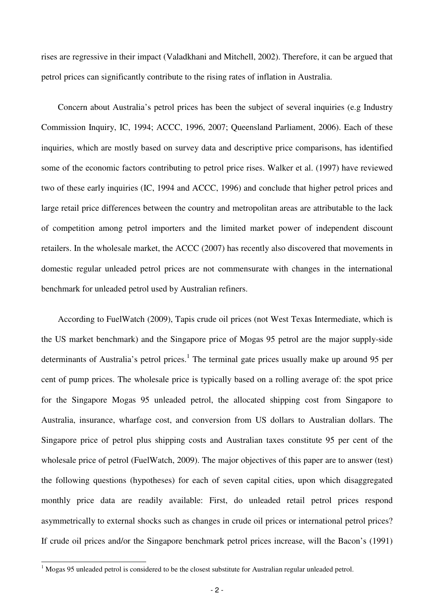rises are regressive in their impact (Valadkhani and Mitchell, 2002). Therefore, it can be argued that petrol prices can significantly contribute to the rising rates of inflation in Australia.

Concern about Australia's petrol prices has been the subject of several inquiries (e.g Industry Commission Inquiry, IC, 1994; ACCC, 1996, 2007; Queensland Parliament, 2006). Each of these inquiries, which are mostly based on survey data and descriptive price comparisons, has identified some of the economic factors contributing to petrol price rises. Walker et al. (1997) have reviewed two of these early inquiries (IC, 1994 and ACCC, 1996) and conclude that higher petrol prices and large retail price differences between the country and metropolitan areas are attributable to the lack of competition among petrol importers and the limited market power of independent discount retailers. In the wholesale market, the ACCC (2007) has recently also discovered that movements in domestic regular unleaded petrol prices are not commensurate with changes in the international benchmark for unleaded petrol used by Australian refiners.

According to FuelWatch (2009), Tapis crude oil prices (not West Texas Intermediate, which is the US market benchmark) and the Singapore price of Mogas 95 petrol are the major supply-side determinants of Australia's petrol prices.<sup>1</sup> The terminal gate prices usually make up around 95 per cent of pump prices. The wholesale price is typically based on a rolling average of: the spot price for the Singapore Mogas 95 unleaded petrol, the allocated shipping cost from Singapore to Australia, insurance, wharfage cost, and conversion from US dollars to Australian dollars. The Singapore price of petrol plus shipping costs and Australian taxes constitute 95 per cent of the wholesale price of petrol (FuelWatch, 2009). The major objectives of this paper are to answer (test) the following questions (hypotheses) for each of seven capital cities, upon which disaggregated monthly price data are readily available: First, do unleaded retail petrol prices respond asymmetrically to external shocks such as changes in crude oil prices or international petrol prices? If crude oil prices and/or the Singapore benchmark petrol prices increase, will the Bacon's (1991)

<sup>&</sup>lt;sup>1</sup> Mogas 95 unleaded petrol is considered to be the closest substitute for Australian regular unleaded petrol.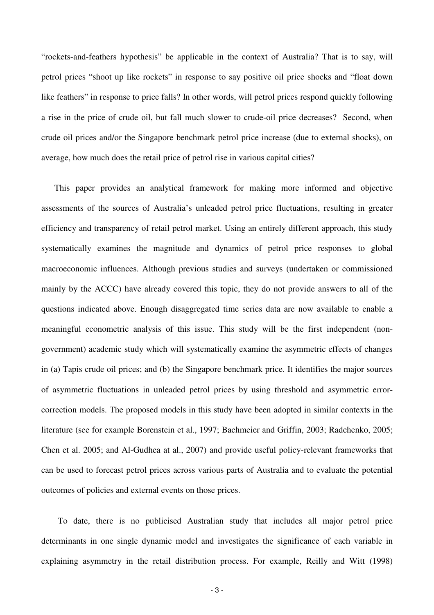"rockets-and-feathers hypothesis" be applicable in the context of Australia? That is to say, will petrol prices "shoot up like rockets" in response to say positive oil price shocks and "float down like feathers" in response to price falls? In other words, will petrol prices respond quickly following a rise in the price of crude oil, but fall much slower to crude-oil price decreases? Second, when crude oil prices and/or the Singapore benchmark petrol price increase (due to external shocks), on average, how much does the retail price of petrol rise in various capital cities?

This paper provides an analytical framework for making more informed and objective assessments of the sources of Australia's unleaded petrol price fluctuations, resulting in greater efficiency and transparency of retail petrol market. Using an entirely different approach, this study systematically examines the magnitude and dynamics of petrol price responses to global macroeconomic influences. Although previous studies and surveys (undertaken or commissioned mainly by the ACCC) have already covered this topic, they do not provide answers to all of the questions indicated above. Enough disaggregated time series data are now available to enable a meaningful econometric analysis of this issue. This study will be the first independent (nongovernment) academic study which will systematically examine the asymmetric effects of changes in (a) Tapis crude oil prices; and (b) the Singapore benchmark price. It identifies the major sources of asymmetric fluctuations in unleaded petrol prices by using threshold and asymmetric errorcorrection models. The proposed models in this study have been adopted in similar contexts in the literature (see for example Borenstein et al., 1997; Bachmeier and Griffin, 2003; Radchenko, 2005; Chen et al. 2005; and Al-Gudhea at al., 2007) and provide useful policy-relevant frameworks that can be used to forecast petrol prices across various parts of Australia and to evaluate the potential outcomes of policies and external events on those prices.

To date, there is no publicised Australian study that includes all major petrol price determinants in one single dynamic model and investigates the significance of each variable in explaining asymmetry in the retail distribution process. For example, Reilly and Witt (1998)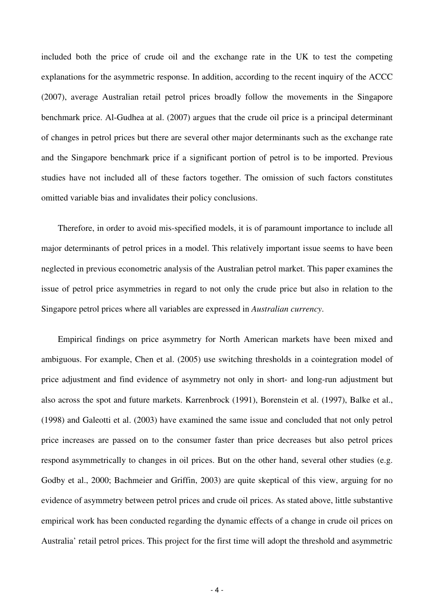included both the price of crude oil and the exchange rate in the UK to test the competing explanations for the asymmetric response. In addition, according to the recent inquiry of the ACCC (2007), average Australian retail petrol prices broadly follow the movements in the Singapore benchmark price. Al-Gudhea at al. (2007) argues that the crude oil price is a principal determinant of changes in petrol prices but there are several other major determinants such as the exchange rate and the Singapore benchmark price if a significant portion of petrol is to be imported. Previous studies have not included all of these factors together. The omission of such factors constitutes omitted variable bias and invalidates their policy conclusions.

Therefore, in order to avoid mis-specified models, it is of paramount importance to include all major determinants of petrol prices in a model. This relatively important issue seems to have been neglected in previous econometric analysis of the Australian petrol market. This paper examines the issue of petrol price asymmetries in regard to not only the crude price but also in relation to the Singapore petrol prices where all variables are expressed in *Australian currency*.

Empirical findings on price asymmetry for North American markets have been mixed and ambiguous. For example, Chen et al. (2005) use switching thresholds in a cointegration model of price adjustment and find evidence of asymmetry not only in short- and long-run adjustment but also across the spot and future markets. Karrenbrock (1991), Borenstein et al. (1997), Balke et al., (1998) and Galeotti et al. (2003) have examined the same issue and concluded that not only petrol price increases are passed on to the consumer faster than price decreases but also petrol prices respond asymmetrically to changes in oil prices. But on the other hand, several other studies (e.g. Godby et al., 2000; Bachmeier and Griffin, 2003) are quite skeptical of this view, arguing for no evidence of asymmetry between petrol prices and crude oil prices. As stated above, little substantive empirical work has been conducted regarding the dynamic effects of a change in crude oil prices on Australia' retail petrol prices. This project for the first time will adopt the threshold and asymmetric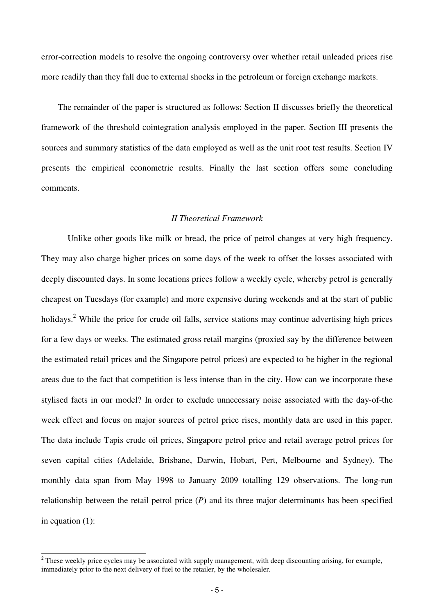error-correction models to resolve the ongoing controversy over whether retail unleaded prices rise more readily than they fall due to external shocks in the petroleum or foreign exchange markets.

The remainder of the paper is structured as follows: Section II discusses briefly the theoretical framework of the threshold cointegration analysis employed in the paper. Section III presents the sources and summary statistics of the data employed as well as the unit root test results. Section IV presents the empirical econometric results. Finally the last section offers some concluding comments.

## *II Theoretical Framework*

Unlike other goods like milk or bread, the price of petrol changes at very high frequency. They may also charge higher prices on some days of the week to offset the losses associated with deeply discounted days. In some locations prices follow a weekly cycle, whereby petrol is generally cheapest on Tuesdays (for example) and more expensive during weekends and at the start of public holidays.<sup>2</sup> While the price for crude oil falls, service stations may continue advertising high prices for a few days or weeks. The estimated gross retail margins (proxied say by the difference between the estimated retail prices and the Singapore petrol prices) are expected to be higher in the regional areas due to the fact that competition is less intense than in the city. How can we incorporate these stylised facts in our model? In order to exclude unnecessary noise associated with the day-of-the week effect and focus on major sources of petrol price rises, monthly data are used in this paper. The data include Tapis crude oil prices, Singapore petrol price and retail average petrol prices for seven capital cities (Adelaide, Brisbane, Darwin, Hobart, Pert, Melbourne and Sydney). The monthly data span from May 1998 to January 2009 totalling 129 observations. The long-run relationship between the retail petrol price (*P*) and its three major determinants has been specified in equation (1):

<sup>&</sup>lt;sup>2</sup> These weekly price cycles may be associated with supply management, with deep discounting arising, for example, immediately prior to the next delivery of fuel to the retailer, by the wholesaler.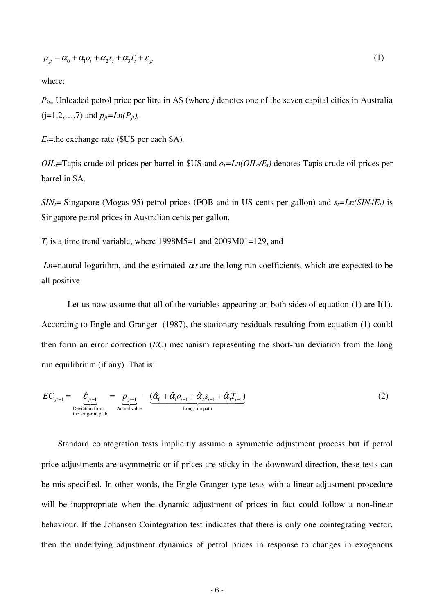$$
p_{it} = \alpha_0 + \alpha_1 o_t + \alpha_2 s_t + \alpha_3 T_t + \varepsilon_{it}
$$
\n<sup>(1)</sup>

where:

 $P_{ij}$ = Unleaded petrol price per litre in A\$ (where *j* denotes one of the seven capital cities in Australia  $(j=1,2,...,7)$  and  $p_{it} = Ln(P_{it})$ ,

*Et*=the exchange rate (\$US per each \$A)*,*

*OIL*<sup> $t$ </sup>=Tapis crude oil prices per barrel in \$US and  $o_t$ =*Ln(OIL*<sub> $t$ </sub>*/E<sub>t</sub>*) denotes Tapis crude oil prices per barrel in \$A*,*

*SIN<sub>I</sub>*= Singapore (Mogas 95) petrol prices (FOB and in US cents per gallon) and  $s_t = Ln(SIN_t/E_t)$  is Singapore petrol prices in Australian cents per gallon,

 $T<sub>t</sub>$  is a time trend variable, where 1998M5=1 and 2009M01=129, and

*Ln*=natural logarithm, and the estimated  $\alpha$ *s* are the long-run coefficients, which are expected to be all positive.

Let us now assume that all of the variables appearing on both sides of equation (1) are I(1). According to Engle and Granger (1987), the stationary residuals resulting from equation (1) could then form an error correction (*EC*) mechanism representing the short-run deviation from the long run equilibrium (if any). That is:

$$
EC_{j_{t-1}} = \underbrace{\hat{\mathcal{E}}_{j_{t-1}}}_{\text{Deviation from}\atop \text{the long-run path}} = \underbrace{p_{j_{t-1}}}_{\text{Actual value}} - \underbrace{(\hat{\alpha}_0 + \hat{\alpha}_1 o_{t-1} + \hat{\alpha}_2 s_{t-1} + \hat{\alpha}_3 T_{t-1})}_{\text{Long-run path}}
$$
(2)

Standard cointegration tests implicitly assume a symmetric adjustment process but if petrol price adjustments are asymmetric or if prices are sticky in the downward direction, these tests can be mis-specified. In other words, the Engle-Granger type tests with a linear adjustment procedure will be inappropriate when the dynamic adjustment of prices in fact could follow a non-linear behaviour. If the Johansen Cointegration test indicates that there is only one cointegrating vector, then the underlying adjustment dynamics of petrol prices in response to changes in exogenous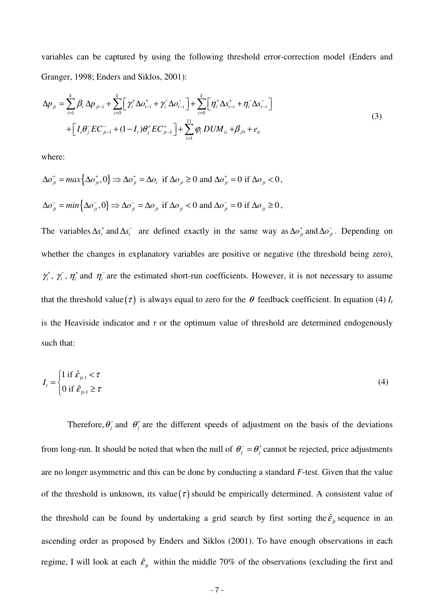variables can be captured by using the following threshold error-correction model (Enders and Granger, 1998; Enders and Siklos, 2001):

$$
\Delta p_{jt} = \sum_{i=1}^{k} \beta_i \Delta p_{jt-i} + \sum_{i=0}^{k} \Big[ \gamma_i^+ \Delta o_{t-i}^+ + \gamma_i^- \Delta o_{t-i}^- \Big] + \sum_{i=0}^{k} \Big[ \eta_i^+ \Delta s_{t-i}^+ + \eta_i^- \Delta s_{t-i}^- \Big] + \Big[ I_i \theta_j^- E C_{jt-1}^- + (1 - I_t) \theta_j^+ E C_{jt-1}^+ \Big] + \sum_{i=1}^{11} \varphi_i \, DUM_{it} + \beta_{j0} + e_{it}
$$
\n(3)

where:

$$
\Delta o_{jt}^+ = \max \{ \Delta o_{jt}^+, 0 \} \Rightarrow \Delta o_{jt}^+ = \Delta o_t \text{ if } \Delta o_{jt} \ge 0 \text{ and } \Delta o_{jt}^+ = 0 \text{ if } \Delta o_{jt} < 0,
$$
  

$$
\Delta o_{jt}^- = \min \{ \Delta o_{jt}^-, 0 \} \Rightarrow \Delta o_{jt}^- = \Delta o_{jt} \text{ if } \Delta o_{jt} < 0 \text{ and } \Delta o_{jt}^- = 0 \text{ if } \Delta o_{jt} \ge 0,
$$

The variables  $\Delta s_i^+$  and  $\Delta s_i^-$  are defined exactly in the same way as  $\Delta o_{ji}^+$  and  $\Delta o_{ji}^-$ . Depending on whether the changes in explanatory variables are positive or negative (the threshold being zero),  $\gamma_i^+$ ,  $\gamma_i^-$ ,  $\eta_i^+$  and  $\eta_i^-$  are the estimated short-run coefficients. However, it is not necessary to assume that the threshold value  $(\tau)$  is always equal to zero for the  $\theta$  feedback coefficient. In equation (4)  $I_t$ is the Heaviside indicator and  $\tau$  or the optimum value of threshold are determined endogenously such that:

$$
I_{t} = \begin{cases} 1 \text{ if } \hat{\varepsilon}_{j_{t-1}} < \tau \\ 0 \text{ if } \hat{\varepsilon}_{j_{t-1}} \ge \tau \end{cases}
$$
 (4)

Therefore,  $\theta_j^-$  and  $\theta_j^+$  are the different speeds of adjustment on the basis of the deviations from long-run. It should be noted that when the null of  $\theta_j^- = \theta_j^+$  cannot be rejected, price adjustments are no longer asymmetric and this can be done by conducting a standard *F*-test. Given that the value of the threshold is unknown, its value  $(\tau)$  should be empirically determined. A consistent value of the threshold can be found by undertaking a grid search by first sorting the  $\hat{\varepsilon}_{j}$  sequence in an ascending order as proposed by Enders and Siklos (2001). To have enough observations in each regime, I will look at each  $\hat{\epsilon}_{it}$  within the middle 70% of the observations (excluding the first and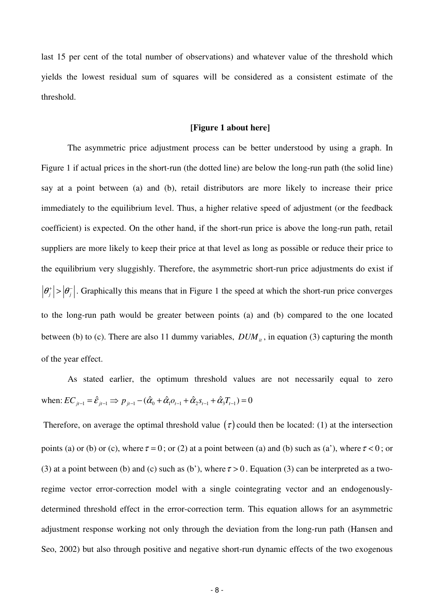last 15 per cent of the total number of observations) and whatever value of the threshold which yields the lowest residual sum of squares will be considered as a consistent estimate of the threshold.

#### **[Figure 1 about here]**

The asymmetric price adjustment process can be better understood by using a graph. In Figure 1 if actual prices in the short-run (the dotted line) are below the long-run path (the solid line) say at a point between (a) and (b), retail distributors are more likely to increase their price immediately to the equilibrium level. Thus, a higher relative speed of adjustment (or the feedback coefficient) is expected. On the other hand, if the short-run price is above the long-run path, retail suppliers are more likely to keep their price at that level as long as possible or reduce their price to the equilibrium very sluggishly. Therefore, the asymmetric short-run price adjustments do exist if  $|\theta_j^+| > |\theta_j^-|$ . Graphically this means that in Figure 1 the speed at which the short-run price converges to the long-run path would be greater between points (a) and (b) compared to the one located between (b) to (c). There are also 11 dummy variables,  $DUM<sub>it</sub>$ , in equation (3) capturing the month of the year effect.

As stated earlier, the optimum threshold values are not necessarily equal to zero when:  $EC_{i_{t-1}} = \hat{\varepsilon}_{i_{t-1}} \implies p_{i_{t-1}} - (\hat{\alpha}_0 + \hat{\alpha}_1 o_{t-1} + \hat{\alpha}_2 s_{t-1} + \hat{\alpha}_3 T_{t-1}) = 0$ 

Therefore, on average the optimal threshold value  $(\tau)$  could then be located: (1) at the intersection points (a) or (b) or (c), where  $\tau = 0$ ; or (2) at a point between (a) and (b) such as (a'), where  $\tau < 0$ ; or (3) at a point between (b) and (c) such as (b'), where  $\tau > 0$ . Equation (3) can be interpreted as a tworegime vector error-correction model with a single cointegrating vector and an endogenouslydetermined threshold effect in the error-correction term. This equation allows for an asymmetric adjustment response working not only through the deviation from the long-run path (Hansen and Seo, 2002) but also through positive and negative short-run dynamic effects of the two exogenous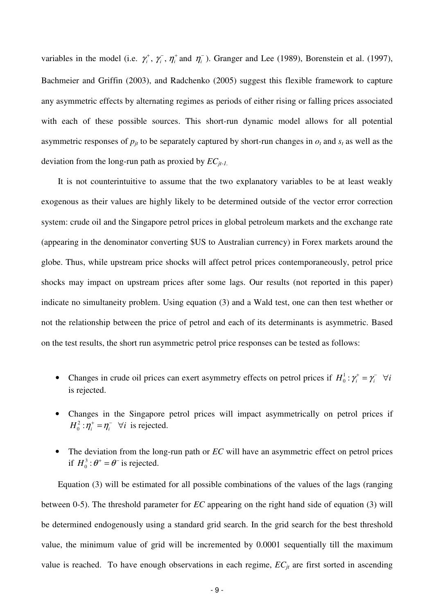variables in the model (i.e.  $\gamma_i^+$ ,  $\gamma_i^-$ ,  $\eta_i^+$  and  $\eta_i^-$ ). Granger and Lee (1989), Borenstein et al. (1997), Bachmeier and Griffin (2003), and Radchenko (2005) suggest this flexible framework to capture any asymmetric effects by alternating regimes as periods of either rising or falling prices associated with each of these possible sources. This short-run dynamic model allows for all potential asymmetric responses of  $p_{jt}$  to be separately captured by short-run changes in  $o_t$  and  $s_t$  as well as the deviation from the long-run path as proxied by *ECjt-1.*

It is not counterintuitive to assume that the two explanatory variables to be at least weakly exogenous as their values are highly likely to be determined outside of the vector error correction system: crude oil and the Singapore petrol prices in global petroleum markets and the exchange rate (appearing in the denominator converting \$US to Australian currency) in Forex markets around the globe. Thus, while upstream price shocks will affect petrol prices contemporaneously, petrol price shocks may impact on upstream prices after some lags. Our results (not reported in this paper) indicate no simultaneity problem. Using equation (3) and a Wald test, one can then test whether or not the relationship between the price of petrol and each of its determinants is asymmetric. Based on the test results, the short run asymmetric petrol price responses can be tested as follows:

- Changes in crude oil prices can exert asymmetry effects on petrol prices if  $H_0^1$ :  $\gamma_i^+ = \gamma_i^- \quad \forall i$ is rejected.
- Changes in the Singapore petrol prices will impact asymmetrically on petrol prices if 2  $H_0^2$ :  $\eta_i^+ = \eta_i^ \forall i$  is rejected.
- The deviation from the long-run path or *EC* will have an asymmetric effect on petrol prices if  $H_0^3$ : $\theta^+ = \theta^-$  is rejected.

Equation (3) will be estimated for all possible combinations of the values of the lags (ranging between 0-5). The threshold parameter for *EC* appearing on the right hand side of equation (3) will be determined endogenously using a standard grid search. In the grid search for the best threshold value, the minimum value of grid will be incremented by 0.0001 sequentially till the maximum value is reached. To have enough observations in each regime,  $EC_{jt}$  are first sorted in ascending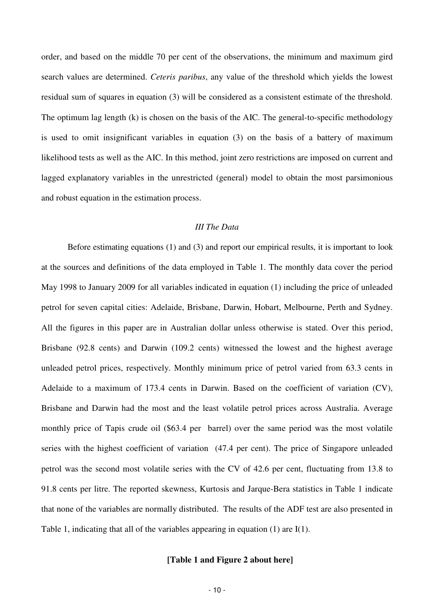order, and based on the middle 70 per cent of the observations, the minimum and maximum gird search values are determined. *Ceteris paribus*, any value of the threshold which yields the lowest residual sum of squares in equation (3) will be considered as a consistent estimate of the threshold. The optimum lag length (k) is chosen on the basis of the AIC. The general-to-specific methodology is used to omit insignificant variables in equation (3) on the basis of a battery of maximum likelihood tests as well as the AIC. In this method, joint zero restrictions are imposed on current and lagged explanatory variables in the unrestricted (general) model to obtain the most parsimonious and robust equation in the estimation process.

#### *III The Data*

Before estimating equations (1) and (3) and report our empirical results, it is important to look at the sources and definitions of the data employed in Table 1. The monthly data cover the period May 1998 to January 2009 for all variables indicated in equation (1) including the price of unleaded petrol for seven capital cities: Adelaide, Brisbane, Darwin, Hobart, Melbourne, Perth and Sydney. All the figures in this paper are in Australian dollar unless otherwise is stated. Over this period, Brisbane (92.8 cents) and Darwin (109.2 cents) witnessed the lowest and the highest average unleaded petrol prices, respectively. Monthly minimum price of petrol varied from 63.3 cents in Adelaide to a maximum of 173.4 cents in Darwin. Based on the coefficient of variation (CV), Brisbane and Darwin had the most and the least volatile petrol prices across Australia. Average monthly price of Tapis crude oil (\$63.4 per barrel) over the same period was the most volatile series with the highest coefficient of variation (47.4 per cent). The price of Singapore unleaded petrol was the second most volatile series with the CV of 42.6 per cent, fluctuating from 13.8 to 91.8 cents per litre. The reported skewness, Kurtosis and Jarque-Bera statistics in Table 1 indicate that none of the variables are normally distributed. The results of the ADF test are also presented in Table 1, indicating that all of the variables appearing in equation (1) are I(1).

#### **[Table 1 and Figure 2 about here]**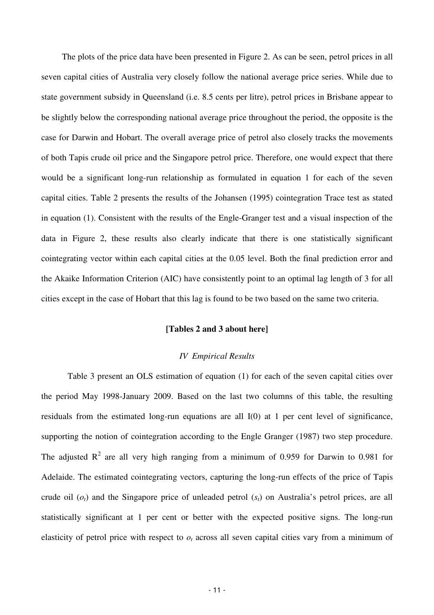The plots of the price data have been presented in Figure 2. As can be seen, petrol prices in all seven capital cities of Australia very closely follow the national average price series. While due to state government subsidy in Queensland (i.e. 8.5 cents per litre), petrol prices in Brisbane appear to be slightly below the corresponding national average price throughout the period, the opposite is the case for Darwin and Hobart. The overall average price of petrol also closely tracks the movements of both Tapis crude oil price and the Singapore petrol price. Therefore, one would expect that there would be a significant long-run relationship as formulated in equation 1 for each of the seven capital cities. Table 2 presents the results of the Johansen (1995) cointegration Trace test as stated in equation (1). Consistent with the results of the Engle-Granger test and a visual inspection of the data in Figure 2, these results also clearly indicate that there is one statistically significant cointegrating vector within each capital cities at the 0.05 level. Both the final prediction error and the Akaike Information Criterion (AIC) have consistently point to an optimal lag length of 3 for all cities except in the case of Hobart that this lag is found to be two based on the same two criteria.

#### **[Tables 2 and 3 about here]**

## *IV Empirical Results*

Table 3 present an OLS estimation of equation (1) for each of the seven capital cities over the period May 1998-January 2009. Based on the last two columns of this table, the resulting residuals from the estimated long-run equations are all I(0) at 1 per cent level of significance, supporting the notion of cointegration according to the Engle Granger (1987) two step procedure. The adjusted  $R^2$  are all very high ranging from a minimum of 0.959 for Darwin to 0.981 for Adelaide. The estimated cointegrating vectors, capturing the long-run effects of the price of Tapis crude oil  $(o_t)$  and the Singapore price of unleaded petrol  $(s_t)$  on Australia's petrol prices, are all statistically significant at 1 per cent or better with the expected positive signs. The long-run elasticity of petrol price with respect to  $o_t$  across all seven capital cities vary from a minimum of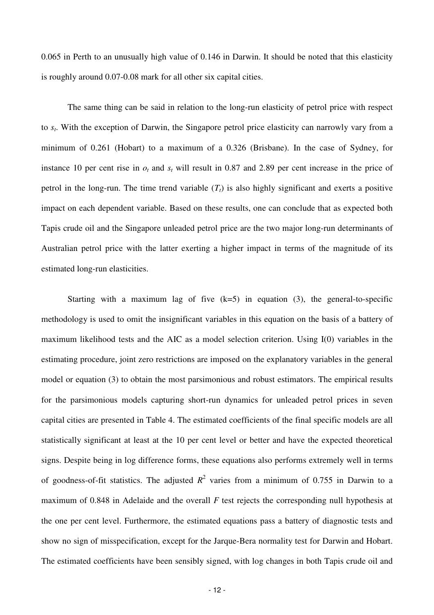0.065 in Perth to an unusually high value of 0.146 in Darwin. It should be noted that this elasticity is roughly around 0.07-0.08 mark for all other six capital cities.

The same thing can be said in relation to the long-run elasticity of petrol price with respect to *s<sup>t</sup>* . With the exception of Darwin, the Singapore petrol price elasticity can narrowly vary from a minimum of 0.261 (Hobart) to a maximum of a 0.326 (Brisbane). In the case of Sydney, for instance 10 per cent rise in  $o_t$  and  $s_t$  will result in 0.87 and 2.89 per cent increase in the price of petrol in the long-run. The time trend variable  $(T_t)$  is also highly significant and exerts a positive impact on each dependent variable. Based on these results, one can conclude that as expected both Tapis crude oil and the Singapore unleaded petrol price are the two major long-run determinants of Australian petrol price with the latter exerting a higher impact in terms of the magnitude of its estimated long-run elasticities.

Starting with a maximum lag of five  $(k=5)$  in equation (3), the general-to-specific methodology is used to omit the insignificant variables in this equation on the basis of a battery of maximum likelihood tests and the AIC as a model selection criterion. Using I(0) variables in the estimating procedure, joint zero restrictions are imposed on the explanatory variables in the general model or equation (3) to obtain the most parsimonious and robust estimators. The empirical results for the parsimonious models capturing short-run dynamics for unleaded petrol prices in seven capital cities are presented in Table 4. The estimated coefficients of the final specific models are all statistically significant at least at the 10 per cent level or better and have the expected theoretical signs. Despite being in log difference forms, these equations also performs extremely well in terms of goodness-of-fit statistics. The adjusted  $R^2$  varies from a minimum of 0.755 in Darwin to a maximum of 0.848 in Adelaide and the overall *F* test rejects the corresponding null hypothesis at the one per cent level. Furthermore, the estimated equations pass a battery of diagnostic tests and show no sign of misspecification, except for the Jarque-Bera normality test for Darwin and Hobart. The estimated coefficients have been sensibly signed, with log changes in both Tapis crude oil and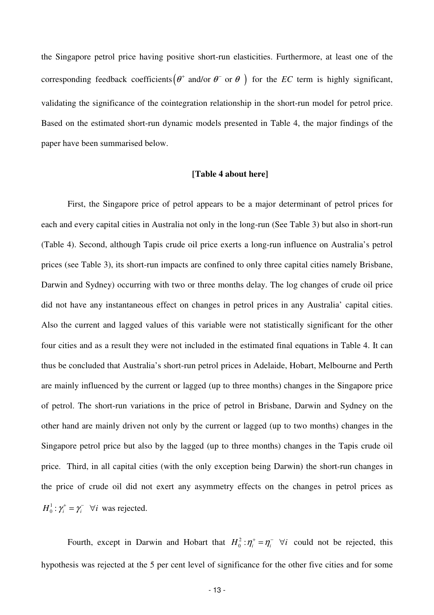the Singapore petrol price having positive short-run elasticities. Furthermore, at least one of the corresponding feedback coefficients  $(\theta^+$  and/or  $\theta^-$  or  $\theta$  ) for the *EC* term is highly significant, validating the significance of the cointegration relationship in the short-run model for petrol price. Based on the estimated short-run dynamic models presented in Table 4, the major findings of the paper have been summarised below.

### **[Table 4 about here]**

First, the Singapore price of petrol appears to be a major determinant of petrol prices for each and every capital cities in Australia not only in the long-run (See Table 3) but also in short-run (Table 4). Second, although Tapis crude oil price exerts a long-run influence on Australia's petrol prices (see Table 3), its short-run impacts are confined to only three capital cities namely Brisbane, Darwin and Sydney) occurring with two or three months delay. The log changes of crude oil price did not have any instantaneous effect on changes in petrol prices in any Australia' capital cities. Also the current and lagged values of this variable were not statistically significant for the other four cities and as a result they were not included in the estimated final equations in Table 4. It can thus be concluded that Australia's short-run petrol prices in Adelaide, Hobart, Melbourne and Perth are mainly influenced by the current or lagged (up to three months) changes in the Singapore price of petrol. The short-run variations in the price of petrol in Brisbane, Darwin and Sydney on the other hand are mainly driven not only by the current or lagged (up to two months) changes in the Singapore petrol price but also by the lagged (up to three months) changes in the Tapis crude oil price. Third, in all capital cities (with the only exception being Darwin) the short-run changes in the price of crude oil did not exert any asymmetry effects on the changes in petrol prices as 1  $H_0^1$ :  $\gamma_i^+ = \gamma_i^- \quad \forall i$  was rejected.

Fourth, except in Darwin and Hobart that  $H_0^2$ :  $\eta_i^+ = \eta_i^ \forall i$  could not be rejected, this hypothesis was rejected at the 5 per cent level of significance for the other five cities and for some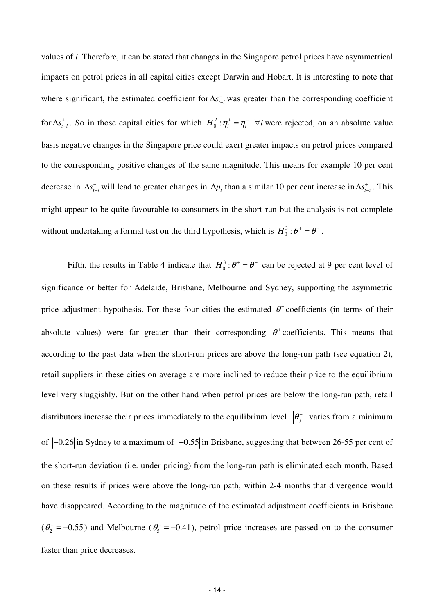values of *i*. Therefore, it can be stated that changes in the Singapore petrol prices have asymmetrical impacts on petrol prices in all capital cities except Darwin and Hobart. It is interesting to note that where significant, the estimated coefficient for  $\Delta s_{t-i}^-$  was greater than the corresponding coefficient for  $\Delta s_{t-i}^+$ . So in those capital cities for which  $H_0^2 : \eta_i^+ = \eta_i^- \quad \forall i$  were rejected, on an absolute value basis negative changes in the Singapore price could exert greater impacts on petrol prices compared to the corresponding positive changes of the same magnitude. This means for example 10 per cent decrease in  $\Delta s_{t-i}^-$  will lead to greater changes in  $\Delta p_t$  than a similar 10 per cent increase in  $\Delta s_{t-i}^+$ . This might appear to be quite favourable to consumers in the short-run but the analysis is not complete without undertaking a formal test on the third hypothesis, which is  $H_0^3$ : $\theta^+ = \theta^-$ .

Fifth, the results in Table 4 indicate that  $H_0^3$ : $\theta^+ = \theta^-$  can be rejected at 9 per cent level of significance or better for Adelaide, Brisbane, Melbourne and Sydney, supporting the asymmetric price adjustment hypothesis. For these four cities the estimated  $\theta^-$  coefficients (in terms of their absolute values) were far greater than their corresponding  $\theta^+$  coefficients. This means that according to the past data when the short-run prices are above the long-run path (see equation 2), retail suppliers in these cities on average are more inclined to reduce their price to the equilibrium level very sluggishly. But on the other hand when petrol prices are below the long-run path, retail distributors increase their prices immediately to the equilibrium level.  $|\theta_{j}^{-}|$  varies from a minimum of  $\left|-0.26\right|$  in Sydney to a maximum of  $\left|-0.55\right|$  in Brisbane, suggesting that between 26-55 per cent of the short-run deviation (i.e. under pricing) from the long-run path is eliminated each month. Based on these results if prices were above the long-run path, within 2-4 months that divergence would have disappeared. According to the magnitude of the estimated adjustment coefficients in Brisbane  $(\theta_2^- = -0.55)$  and Melbourne  $(\theta_5^- = -0.41)$ , petrol price increases are passed on to the consumer faster than price decreases.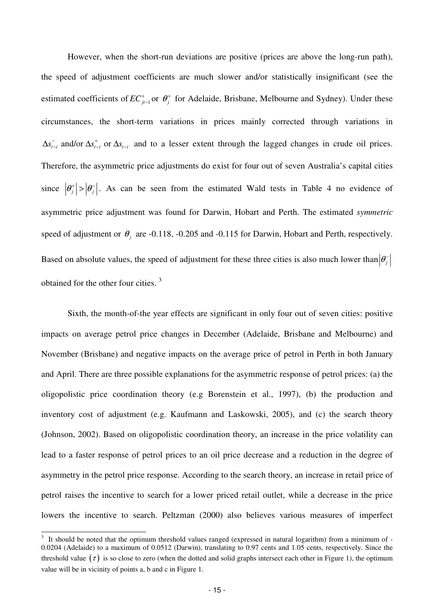However, when the short-run deviations are positive (prices are above the long-run path), the speed of adjustment coefficients are much slower and/or statistically insignificant (see the estimated coefficients of  $EC_{j_{t-1}}^+$ <sub>-1</sub> or  $\theta_j^+$  for Adelaide, Brisbane, Melbourne and Sydney). Under these circumstances, the short-term variations in prices mainly corrected through variations in  $\Delta s_{t-i}^-$  and/or  $\Delta s_{t-i}^+$  or  $\Delta s_{t-i}^-$  and to a lesser extent through the lagged changes in crude oil prices. Therefore, the asymmetric price adjustments do exist for four out of seven Australia's capital cities since  $|\theta_j^+| > |\theta_j^-|$ . As can be seen from the estimated Wald tests in Table 4 no evidence of asymmetric price adjustment was found for Darwin, Hobart and Perth. The estimated *symmetric* speed of adjustment or  $\theta_j$  are -0.118, -0.205 and -0.115 for Darwin, Hobart and Perth, respectively. Based on absolute values, the speed of adjustment for these three cities is also much lower than  $\left|\theta_j^-\right|$ obtained for the other four cities. <sup>3</sup>

Sixth, the month-of-the year effects are significant in only four out of seven cities: positive impacts on average petrol price changes in December (Adelaide, Brisbane and Melbourne) and November (Brisbane) and negative impacts on the average price of petrol in Perth in both January and April. There are three possible explanations for the asymmetric response of petrol prices: (a) the oligopolistic price coordination theory (e.g Borenstein et al., 1997), (b) the production and inventory cost of adjustment (e.g. Kaufmann and Laskowski, 2005), and (c) the search theory (Johnson, 2002). Based on oligopolistic coordination theory, an increase in the price volatility can lead to a faster response of petrol prices to an oil price decrease and a reduction in the degree of asymmetry in the petrol price response. According to the search theory, an increase in retail price of petrol raises the incentive to search for a lower priced retail outlet, while a decrease in the price lowers the incentive to search. Peltzman (2000) also believes various measures of imperfect

-

 $3\,$  It should be noted that the optimum threshold values ranged (expressed in natural logarithm) from a minimum of -0.0204 (Adelaide) to a maximum of 0.0512 (Darwin), translating to 0.97 cents and 1.05 cents, respectively. Since the threshold value  $(\tau)$  is so close to zero (when the dotted and solid graphs intersect each other in Figure 1), the optimum value will be in vicinity of points a, b and c in Figure 1.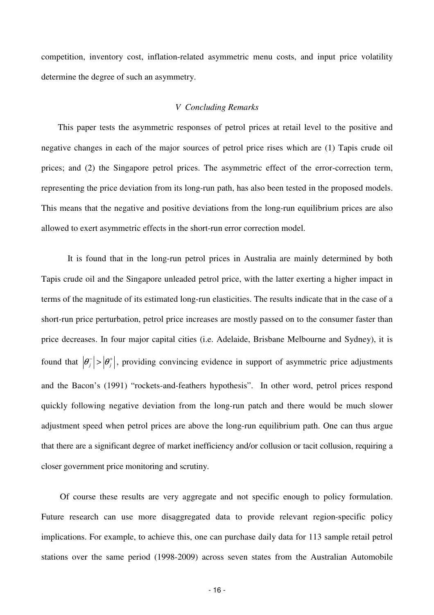competition, inventory cost, inflation-related asymmetric menu costs, and input price volatility determine the degree of such an asymmetry.

### *V Concluding Remarks*

This paper tests the asymmetric responses of petrol prices at retail level to the positive and negative changes in each of the major sources of petrol price rises which are (1) Tapis crude oil prices; and (2) the Singapore petrol prices. The asymmetric effect of the error-correction term, representing the price deviation from its long-run path, has also been tested in the proposed models. This means that the negative and positive deviations from the long-run equilibrium prices are also allowed to exert asymmetric effects in the short-run error correction model.

It is found that in the long-run petrol prices in Australia are mainly determined by both Tapis crude oil and the Singapore unleaded petrol price, with the latter exerting a higher impact in terms of the magnitude of its estimated long-run elasticities. The results indicate that in the case of a short-run price perturbation, petrol price increases are mostly passed on to the consumer faster than price decreases. In four major capital cities (i.e. Adelaide, Brisbane Melbourne and Sydney), it is found that  $|\theta_i^-| > |\theta_i^+|$ , providing convincing evidence in support of asymmetric price adjustments and the Bacon's (1991) "rockets-and-feathers hypothesis". In other word, petrol prices respond quickly following negative deviation from the long-run patch and there would be much slower adjustment speed when petrol prices are above the long-run equilibrium path. One can thus argue that there are a significant degree of market inefficiency and/or collusion or tacit collusion, requiring a closer government price monitoring and scrutiny.

 Of course these results are very aggregate and not specific enough to policy formulation. Future research can use more disaggregated data to provide relevant region-specific policy implications. For example, to achieve this, one can purchase daily data for 113 sample retail petrol stations over the same period (1998-2009) across seven states from the Australian Automobile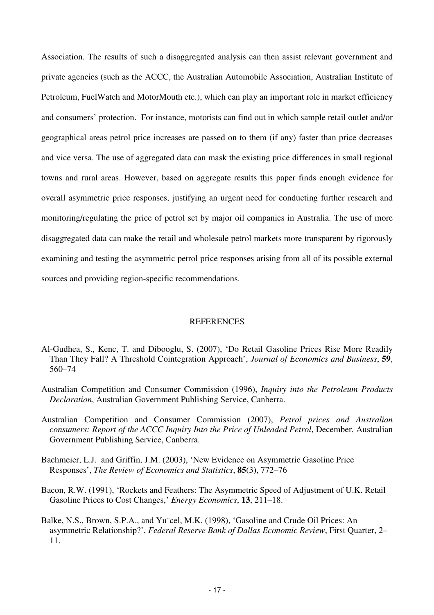Association. The results of such a disaggregated analysis can then assist relevant government and private agencies (such as the ACCC, the Australian Automobile Association, Australian Institute of Petroleum, FuelWatch and MotorMouth etc.), which can play an important role in market efficiency and consumers' protection. For instance, motorists can find out in which sample retail outlet and/or geographical areas petrol price increases are passed on to them (if any) faster than price decreases and vice versa. The use of aggregated data can mask the existing price differences in small regional towns and rural areas. However, based on aggregate results this paper finds enough evidence for overall asymmetric price responses, justifying an urgent need for conducting further research and monitoring/regulating the price of petrol set by major oil companies in Australia. The use of more disaggregated data can make the retail and wholesale petrol markets more transparent by rigorously examining and testing the asymmetric petrol price responses arising from all of its possible external sources and providing region-specific recommendations.

#### REFERENCES

- Al-Gudhea, S., Kenc, T. and Dibooglu, S. (2007), 'Do Retail Gasoline Prices Rise More Readily Than They Fall? A Threshold Cointegration Approach', *Journal of Economics and Business*, **59**, 560–74
- Australian Competition and Consumer Commission (1996), *Inquiry into the Petroleum Products Declaration*, Australian Government Publishing Service, Canberra.
- Australian Competition and Consumer Commission (2007), *Petrol prices and Australian consumers: Report of the ACCC Inquiry Into the Price of Unleaded Petrol*, December, Australian Government Publishing Service, Canberra.
- Bachmeier, L.J. and Griffin, J.M. (2003), 'New Evidence on Asymmetric Gasoline Price Responses', *The Review of Economics and Statistics*, **85**(3), 772–76
- Bacon, R.W. (1991), 'Rockets and Feathers: The Asymmetric Speed of Adjustment of U.K. Retail Gasoline Prices to Cost Changes,' *Energy Economics*, **13**, 211–18.
- Balke, N.S., Brown, S.P.A., and Yu¨cel, M.K. (1998), 'Gasoline and Crude Oil Prices: An asymmetric Relationship?', *Federal Reserve Bank of Dallas Economic Review*, First Quarter, 2– 11.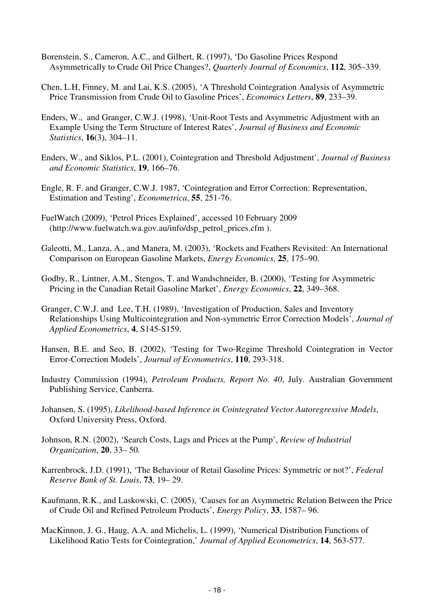- Borenstein, S., Cameron, A.C., and Gilbert, R. (1997), 'Do Gasoline Prices Respond Asymmetrically to Crude Oil Price Changes?, *Quarterly Journal of Economics*, **112**, 305–339.
- Chen, L.H, Finney, M. and Lai, K.S. (2005), 'A Threshold Cointegration Analysis of Asymmetric Price Transmission from Crude Oil to Gasoline Prices', *Economics Letters*, **89**, 233–39.
- Enders, W., and Granger, C.W.J. (1998), 'Unit-Root Tests and Asymmetric Adjustment with an Example Using the Term Structure of Interest Rates', *Journal of Business and Economic Statistics*, **16**(3), 304–11.
- Enders, W., and Siklos, P.L. (2001), Cointegration and Threshold Adjustment', *Journal of Business and Economic Statistics*, **19**, 166–76.
- Engle, R. F. and Granger, C.W.J. 1987, 'Cointegration and Error Correction: Representation, Estimation and Testing', *Econometrica*, **55**, 251-76.
- FuelWatch (2009), 'Petrol Prices Explained', accessed 10 February 2009 (http://www.fuelwatch.wa.gov.au/info/dsp\_petrol\_prices.cfm ).
- Galeotti, M., Lanza, A., and Manera, M. (2003), 'Rockets and Feathers Revisited: An International Comparison on European Gasoline Markets, *Energy Economics*, **25**, 175–90.
- Godby, R., Lintner, A.M., Stengos, T. and Wandschneider, B. (2000), 'Testing for Asymmetric Pricing in the Canadian Retail Gasoline Market', *Energy Economics*, **22**, 349–368.
- Granger, C.W.J. and Lee, T.H. (1989), 'Investigation of Production, Sales and Inventory Relationships Using Multicointegration and Non-symmetric Error Correction Models', *Journal of Applied Econometrics*, **4**, S145-S159.
- Hansen, B.E. and Seo, B. (2002), 'Testing for Two-Regime Threshold Cointegration in Vector Error-Correction Models', *Journal of Econometrics*, **110**, 293-318.
- Industry Commission (1994), *Petroleum Products, Report No. 40*, July. Australian Government Publishing Service, Canberra.
- Johansen, S. (1995), *Likelihood-based Inference in Cointegrated Vector Autoregressive Models*, Oxford University Press, Oxford.
- Johnson, R.N. (2002), 'Search Costs, Lags and Prices at the Pump', *Review of Industrial Organization*, **20**, 33– 50.
- Karrenbrock, J.D. (1991), 'The Behaviour of Retail Gasoline Prices: Symmetric or not?', *Federal Reserve Bank of St. Louis*, **73**, 19– 29.
- Kaufmann, R.K., and Laskowski, C. (2005), 'Causes for an Asymmetric Relation Between the Price of Crude Oil and Refined Petroleum Products', *Energy Policy*, **33**, 1587– 96.
- MacKinnon, J. G., Haug, A.A. and Michelis, L. (1999), 'Numerical Distribution Functions of Likelihood Ratio Tests for Cointegration,' *Journal of Applied Econometrics*, **14**, 563-577.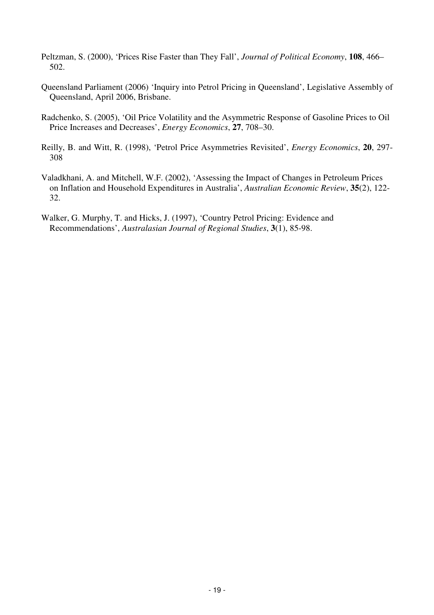- Peltzman, S. (2000), 'Prices Rise Faster than They Fall', *Journal of Political Economy*, **108**, 466– 502.
- Queensland Parliament (2006) 'Inquiry into Petrol Pricing in Queensland', Legislative Assembly of Queensland, April 2006, Brisbane.
- Radchenko, S. (2005), 'Oil Price Volatility and the Asymmetric Response of Gasoline Prices to Oil Price Increases and Decreases', *Energy Economics*, **27**, 708–30.
- Reilly, B. and Witt, R. (1998), 'Petrol Price Asymmetries Revisited', *Energy Economics*, **20**, 297- 308
- Valadkhani, A. and Mitchell, W.F. (2002), 'Assessing the Impact of Changes in Petroleum Prices on Inflation and Household Expenditures in Australia', *Australian Economic Review*, **35**(2), 122- 32.
- Walker, G. Murphy, T. and Hicks, J. (1997), 'Country Petrol Pricing: Evidence and Recommendations', *Australasian Journal of Regional Studies*, **3**(1), 85-98.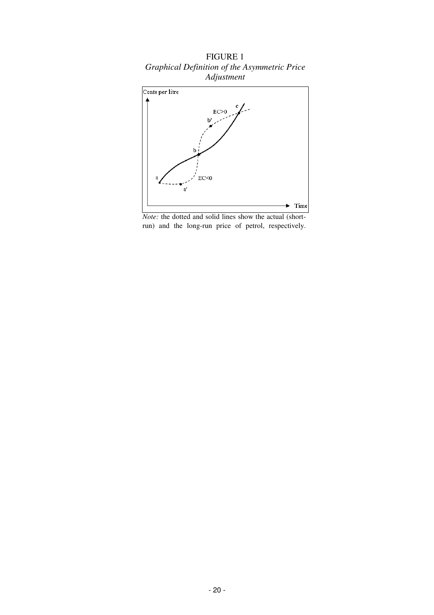

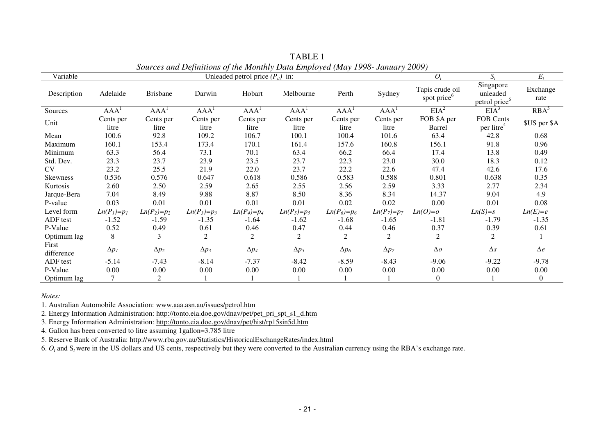| sources and Definitions of the monthly Data Employed (may 1770- January 2007) |                  |                  |                  |                                      |                  |                  |                  |                                            |                                                    |                  |
|-------------------------------------------------------------------------------|------------------|------------------|------------------|--------------------------------------|------------------|------------------|------------------|--------------------------------------------|----------------------------------------------------|------------------|
| Variable                                                                      |                  |                  |                  | Unleaded petrol price $(P_{ii})$ in: |                  |                  |                  | $O_t$                                      | $S_{t}$                                            | $E_t$            |
| Description                                                                   | Adelaide         | <b>Brisbane</b>  | Darwin           | Hobart                               | Melbourne        | Perth            | Sydney           | Tapis crude oil<br>spot price <sup>6</sup> | Singapore<br>unleaded<br>petrol price <sup>6</sup> | Exchange<br>rate |
| Sources                                                                       | AAA <sup>1</sup> | AAA <sup>1</sup> | AAA <sup>1</sup> | AAA <sup>1</sup>                     | AAA <sup>1</sup> | AAA <sup>1</sup> | AAA <sup>1</sup> | EIA <sup>2</sup>                           | EIA <sup>3</sup>                                   | $RBA^5$          |
| Unit                                                                          | Cents per        | Cents per        | Cents per        | Cents per                            | Cents per        | Cents per        | Cents per        | FOB \$A per                                | FOB Cents                                          | \$US per \$A     |
|                                                                               | litre            | litre            | litre            | litre                                | litre            | litre            | litre            | Barrel                                     | per litre <sup>4</sup>                             |                  |
| Mean                                                                          | 100.6            | 92.8             | 109.2            | 106.7                                | 100.1            | 100.4            | 101.6            | 63.4                                       | 42.8                                               | 0.68             |
| Maximum                                                                       | 160.1            | 153.4            | 173.4            | 170.1                                | 161.4            | 157.6            | 160.8            | 156.1                                      | 91.8                                               | 0.96             |
| Minimum                                                                       | 63.3             | 56.4             | 73.1             | 70.1                                 | 63.4             | 66.2             | 66.4             | 17.4                                       | 13.8                                               | 0.49             |
| Std. Dev.                                                                     | 23.3             | 23.7             | 23.9             | 23.5                                 | 23.7             | 22.3             | 23.0             | 30.0                                       | 18.3                                               | 0.12             |
| CV                                                                            | 23.2             | 25.5             | 21.9             | 22.0                                 | 23.7             | 22.2             | 22.6             | 47.4                                       | 42.6                                               | 17.6             |
| <b>Skewness</b>                                                               | 0.536            | 0.576            | 0.647            | 0.618                                | 0.586            | 0.583            | 0.588            | 0.801                                      | 0.638                                              | 0.35             |
| Kurtosis                                                                      | 2.60             | 2.50             | 2.59             | 2.65                                 | 2.55             | 2.56             | 2.59             | 3.33                                       | 2.77                                               | 2.34             |
| Jarque-Bera                                                                   | 7.04             | 8.49             | 9.88             | 8.87                                 | 8.50             | 8.36             | 8.34             | 14.37                                      | 9.04                                               | 4.9              |
| P-value                                                                       | 0.03             | 0.01             | 0.01             | 0.01                                 | 0.01             | 0.02             | 0.02             | 0.00                                       | 0.01                                               | 0.08             |
| Level form                                                                    | $Ln(P_1)=p_1$    | $Ln(P_2)=p_2$    | $Ln(P_3)=p_3$    | $Ln(P_4)=p_4$                        | $Ln(P_5)=p_5$    | $Ln(P_6)=p_6$    | $Ln(P_7)=p_7$    | $Ln(O)=o$                                  | $Ln(S)=s$                                          | $Ln(E)=e$        |
| ADF test                                                                      | $-1.52$          | $-1.59$          | $-1.35$          | $-1.64$                              | $-1.62$          | $-1.68$          | $-1.65$          | $-1.81$                                    | $-1.79$                                            | $-1.35$          |
| P-Value                                                                       | 0.52             | 0.49             | 0.61             | 0.46                                 | 0.47             | 0.44             | 0.46             | 0.37                                       | 0.39                                               | 0.61             |
| Optimum lag                                                                   | 8                | 3                | 2                | $\overline{2}$                       | 2                | 2                | $\overline{2}$   | 2                                          | 2                                                  |                  |
| First                                                                         | $\Delta p_I$     | $\Delta p_2$     | $\Delta p_3$     | $\Delta p_4$                         | $\Delta p_5$     | $\Delta p_6$     | $\Delta p_7$     | $\Delta o$                                 | $\Delta s$                                         | $\Delta e$       |
| difference                                                                    |                  |                  |                  |                                      |                  |                  |                  |                                            |                                                    |                  |
| ADF test                                                                      | $-5.14$          | $-7.43$          | $-8.14$          | $-7.37$                              | $-8.42$          | $-8.59$          | $-8.43$          | $-9.06$                                    | $-9.22$                                            | $-9.78$          |
| P-Value                                                                       | 0.00             | 0.00             | 0.00             | 0.00                                 | 0.00             | 0.00             | 0.00             | 0.00                                       | 0.00                                               | 0.00             |
| Optimum lag                                                                   | 7                | $\overline{2}$   |                  |                                      |                  |                  |                  | $\Omega$                                   |                                                    | $\overline{0}$   |

TABLE 1 *Sources and Definitions of the Monthly Data Employed (May 1998- January 2009)* 

*Notes:* 

1. Australian Automobile Association: www.aaa.asn.au/issues/petrol.htm

2. Energy Information Administration: http://tonto.eia.doe.gov/dnav/pet/pet\_pri\_spt\_s1\_d.htm

3. Energy Information Administration: http://tonto.eia.doe.gov/dnav/pet/hist/rp15sin5d.htm

4. Gallon has been converted to litre assuming 1gallon=3.785 litre

5. Reserve Bank of Australia: http://www.rba.gov.au/Statistics/HistoricalExchangeRates/index.html

6.  $O_t$  and  $S_t$  were in the US dollars and US cents, respectively but they were converted to the Australian currency using the RBA's exchange rate.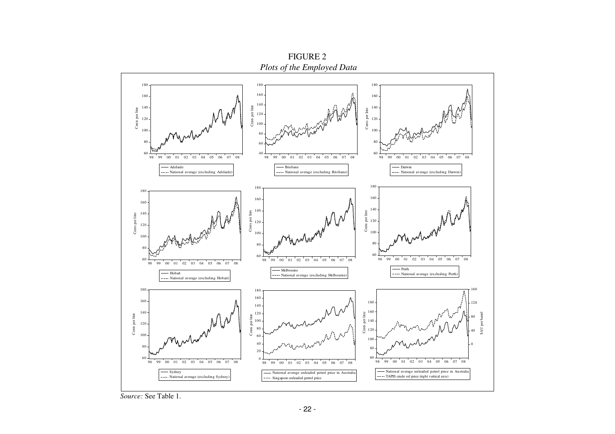

FIGURE 2

*Source:* See Table 1.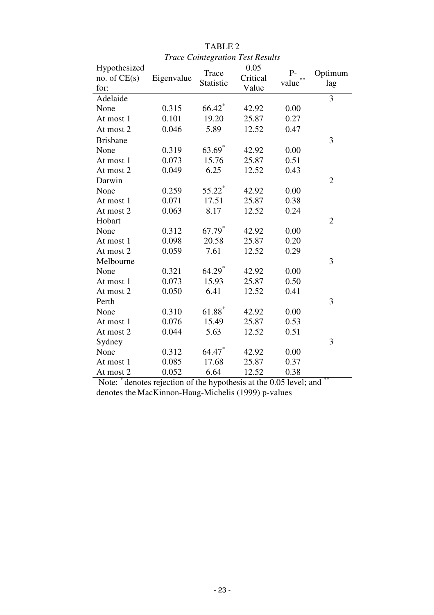|                                      |            | <b>Trace Cointegration Test Results</b> |                           |               |                |
|--------------------------------------|------------|-----------------------------------------|---------------------------|---------------|----------------|
| Hypothesized<br>no. of CE(s)<br>for: | Eigenvalue | Trace<br>Statistic                      | 0.05<br>Critical<br>Value | $P-$<br>value | Optimum<br>lag |
| Adelaide                             |            |                                         |                           |               | $\overline{3}$ |
| None                                 | 0.315      | 66.42                                   | 42.92                     | 0.00          |                |
| At most 1                            | 0.101      | 19.20                                   | 25.87                     | 0.27          |                |
| At most 2                            | 0.046      | 5.89                                    | 12.52                     | 0.47          |                |
| <b>Brisbane</b>                      |            |                                         |                           |               | 3              |
| None                                 | 0.319      | 63.69                                   | 42.92                     | 0.00          |                |
| At most 1                            | 0.073      | 15.76                                   | 25.87                     | 0.51          |                |
| At most 2                            | 0.049      | 6.25                                    | 12.52                     | 0.43          |                |
| Darwin                               |            |                                         |                           |               | $\overline{2}$ |
| None                                 | 0.259      | 55.22*                                  | 42.92                     | 0.00          |                |
| At most 1                            | 0.071      | 17.51                                   | 25.87                     | 0.38          |                |
| At most 2                            | 0.063      | 8.17                                    | 12.52                     | 0.24          |                |
| Hobart                               |            |                                         |                           |               | $\overline{2}$ |
| None                                 | 0.312      | 67.79 <sup>*</sup>                      | 42.92                     | 0.00          |                |
| At most 1                            | 0.098      | 20.58                                   | 25.87                     | 0.20          |                |
| At most 2                            | 0.059      | 7.61                                    | 12.52                     | 0.29          |                |
| Melbourne                            |            |                                         |                           |               | 3              |
| None                                 | 0.321      | 64.29 <sup>*</sup>                      | 42.92                     | 0.00          |                |
| At most 1                            | 0.073      | 15.93                                   | 25.87                     | 0.50          |                |
| At most 2                            | 0.050      | 6.41                                    | 12.52                     | 0.41          |                |
| Perth                                |            |                                         |                           |               | 3              |
| None                                 | 0.310      | $61.88*$                                | 42.92                     | 0.00          |                |
| At most 1                            | 0.076      | 15.49                                   | 25.87                     | 0.53          |                |
| At most 2                            | 0.044      | 5.63                                    | 12.52                     | 0.51          |                |
| Sydney                               |            |                                         |                           |               | 3              |
| None                                 | 0.312      | 64.47                                   | 42.92                     | 0.00          |                |
| At most 1                            | 0.085      | 17.68                                   | 25.87                     | 0.37          |                |
| At most 2                            | 0.052      | 6.64                                    | 12.52                     | 0.38          | **             |

TABLE 2

Note:  $*$  denotes rejection of the hypothesis at the 0.05 level; and \*\* denotes the MacKinnon-Haug-Michelis (1999) p-values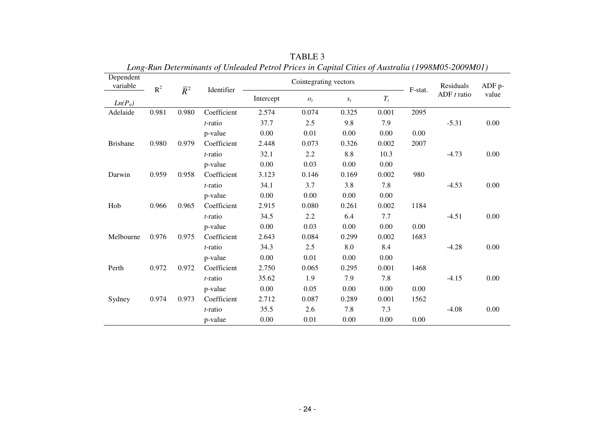| Dependent<br>variable | $R^2$ | $\overline{R}^2$<br>Identifier |             | Long-Kun Determinants of Onteaucu I etrol I rices in Captual Chies of Australia (1770m05-2007m01) | Cointegrating vectors |         | F-stat. | Residuals | $ADF$ p-      |          |
|-----------------------|-------|--------------------------------|-------------|---------------------------------------------------------------------------------------------------|-----------------------|---------|---------|-----------|---------------|----------|
| $Ln(P_{it})$          |       |                                |             | Intercept                                                                                         | $O_t$                 | $S_t$   | $T_t$   |           | ADF $t$ ratio | value    |
| Adelaide              | 0.981 | 0.980                          | Coefficient | 2.574                                                                                             | 0.074                 | 0.325   | 0.001   | 2095      |               |          |
|                       |       |                                | t-ratio     | 37.7                                                                                              | 2.5                   | 9.8     | 7.9     |           | $-5.31$       | $0.00\,$ |
|                       |       |                                | p-value     | 0.00                                                                                              | 0.01                  | 0.00    | 0.00    | 0.00      |               |          |
| <b>Brisbane</b>       | 0.980 | 0.979                          | Coefficient | 2.448                                                                                             | 0.073                 | 0.326   | 0.002   | 2007      |               |          |
|                       |       |                                | t-ratio     | 32.1                                                                                              | 2.2                   | $8.8\,$ | 10.3    |           | $-4.73$       | $0.00\,$ |
|                       |       |                                | p-value     | 0.00                                                                                              | 0.03                  | 0.00    | 0.00    |           |               |          |
| Darwin                | 0.959 | 0.958                          | Coefficient | 3.123                                                                                             | 0.146                 | 0.169   | 0.002   | 980       |               |          |
|                       |       |                                | $t$ -ratio  | 34.1                                                                                              | 3.7                   | 3.8     | 7.8     |           | $-4.53$       | 0.00     |
|                       |       |                                | p-value     | 0.00                                                                                              | 0.00                  | 0.00    | 0.00    |           |               |          |
| Hob                   | 0.966 | 0.965                          | Coefficient | 2.915                                                                                             | 0.080                 | 0.261   | 0.002   | 1184      |               |          |
|                       |       |                                | $t$ -ratio  | 34.5                                                                                              | 2.2                   | 6.4     | 7.7     |           | $-4.51$       | 0.00     |
|                       |       |                                | p-value     | 0.00                                                                                              | 0.03                  | 0.00    | 0.00    | 0.00      |               |          |
| Melbourne             | 0.976 | 0.975                          | Coefficient | 2.643                                                                                             | 0.084                 | 0.299   | 0.002   | 1683      |               |          |
|                       |       |                                | t-ratio     | 34.3                                                                                              | 2.5                   | 8.0     | 8.4     |           | $-4.28$       | 0.00     |
|                       |       |                                | p-value     | 0.00                                                                                              | 0.01                  | 0.00    | 0.00    |           |               |          |
| Perth                 | 0.972 | 0.972                          | Coefficient | 2.750                                                                                             | 0.065                 | 0.295   | 0.001   | 1468      |               |          |
|                       |       |                                | $t$ -ratio  | 35.62                                                                                             | 1.9                   | 7.9     | 7.8     |           | $-4.15$       | 0.00     |
|                       |       |                                | p-value     | 0.00                                                                                              | 0.05                  | 0.00    | 0.00    | 0.00      |               |          |
| Sydney                | 0.974 | 0.973                          | Coefficient | 2.712                                                                                             | 0.087                 | 0.289   | 0.001   | 1562      |               |          |
|                       |       |                                | t-ratio     | 35.5                                                                                              | 2.6                   | 7.8     | 7.3     |           | $-4.08$       | 0.00     |
|                       |       |                                | p-value     | 0.00                                                                                              | 0.01                  | 0.00    | 0.00    | 0.00      |               |          |

TABLE 3 *Long-Run Determinants of Unleaded Petrol Prices in Capital Cities of Australia (1998M05-2009M01)*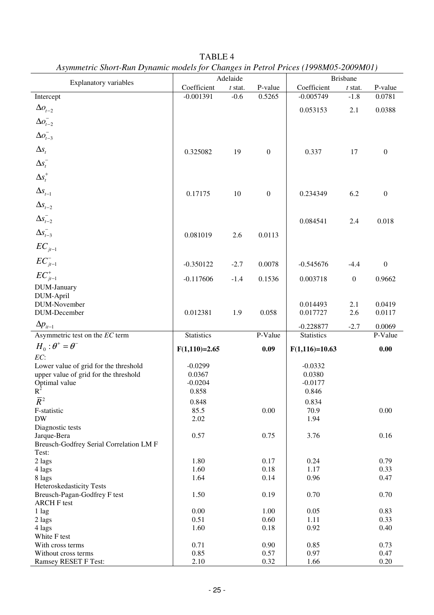| The functive short trail $D$ framed models for Changes at 1 chort rices (1996). 2009.1.101 |                   |           |                  |                   |                  |                  |  |
|--------------------------------------------------------------------------------------------|-------------------|-----------|------------------|-------------------|------------------|------------------|--|
| <b>Explanatory variables</b>                                                               | Adelaide          |           |                  | <b>Brisbane</b>   |                  |                  |  |
|                                                                                            | Coefficient       | $t$ stat. | P-value          | Coefficient       | $t$ stat.        | P-value          |  |
| Intercept                                                                                  | $-0.001391$       | $-0.6$    | 0.5265           | $-0.005749$       | $-1.8$           | 0.0781           |  |
| $\Delta o_{t-2}$                                                                           |                   |           |                  | 0.053153          | 2.1              | 0.0388           |  |
|                                                                                            |                   |           |                  |                   |                  |                  |  |
| $\Delta o_{t-2}^-$                                                                         |                   |           |                  |                   |                  |                  |  |
| $\Delta o_{t-3}^-$                                                                         |                   |           |                  |                   |                  |                  |  |
|                                                                                            |                   |           |                  |                   |                  |                  |  |
| $\Delta s_{t}$                                                                             | 0.325082          | 19        | $\boldsymbol{0}$ | 0.337             | 17               | $\boldsymbol{0}$ |  |
| $\Delta s_t^-$                                                                             |                   |           |                  |                   |                  |                  |  |
| $\Delta s_t^+$                                                                             |                   |           |                  |                   |                  |                  |  |
|                                                                                            |                   |           |                  |                   |                  |                  |  |
| $\Delta s_{t-1}$                                                                           | 0.17175           | 10        | $\boldsymbol{0}$ | 0.234349          | 6.2              | $\boldsymbol{0}$ |  |
|                                                                                            |                   |           |                  |                   |                  |                  |  |
| $\Delta s_{t-2}$                                                                           |                   |           |                  |                   |                  |                  |  |
| $\Delta s_{t-2}^-$                                                                         |                   |           |                  | 0.084541          | 2.4              | 0.018            |  |
| $\Delta s_{t-3}^-$                                                                         |                   |           |                  |                   |                  |                  |  |
|                                                                                            | 0.081019          | 2.6       | 0.0113           |                   |                  |                  |  |
| $EC_{jt-1}$                                                                                |                   |           |                  |                   |                  |                  |  |
|                                                                                            |                   |           |                  |                   |                  |                  |  |
| $EC_{it-1}^-$                                                                              | $-0.350122$       | $-2.7$    | 0.0078           | $-0.545676$       | $-4.4$           | $\boldsymbol{0}$ |  |
| ${\cal EC}_{jt-1}^+$                                                                       | $-0.117606$       | $-1.4$    | 0.1536           | 0.003718          | $\boldsymbol{0}$ | 0.9662           |  |
| DUM-January                                                                                |                   |           |                  |                   |                  |                  |  |
| DUM-April                                                                                  |                   |           |                  |                   |                  |                  |  |
| DUM-November                                                                               |                   |           |                  | 0.014493          | 2.1              | 0.0419           |  |
| DUM-December                                                                               | 0.012381          | 1.9       | 0.058            | 0.017727          | 2.6              | 0.0117           |  |
| $\Delta p_{it-1}$                                                                          |                   |           |                  |                   |                  |                  |  |
|                                                                                            |                   |           |                  | $-0.228877$       | $-2.7$           | 0.0069           |  |
| Asymmetric test on the EC term                                                             | <b>Statistics</b> |           | P-Value          | <b>Statistics</b> |                  | P-Value          |  |
| $H_0$ : $\theta^+$ = $\theta^-$                                                            | $F(1,110)=2.65$   |           | 0.09             | $F(1,116)=10.63$  |                  | 0.00             |  |
| EC:                                                                                        |                   |           |                  |                   |                  |                  |  |
| Lower value of grid for the threshold                                                      | $-0.0299$         |           |                  | $-0.0332$         |                  |                  |  |
| upper value of grid for the threshold                                                      | 0.0367            |           |                  | 0.0380            |                  |                  |  |
| Optimal value                                                                              | $-0.0204$         |           |                  | $-0.0177$         |                  |                  |  |
| $R^2$                                                                                      | 0.858             |           |                  | 0.846             |                  |                  |  |
| $\overline{R}^2$                                                                           | 0.848             |           |                  | 0.834             |                  |                  |  |
| F-statistic                                                                                | 85.5              |           | $0.00\,$         | 70.9              |                  | 0.00             |  |
| <b>DW</b>                                                                                  | 2.02              |           |                  | 1.94              |                  |                  |  |
| Diagnostic tests                                                                           |                   |           |                  |                   |                  |                  |  |
| Jarque-Bera                                                                                | 0.57              |           | 0.75             | 3.76              |                  | 0.16             |  |
| Breusch-Godfrey Serial Correlation LM F                                                    |                   |           |                  |                   |                  |                  |  |
| Test:                                                                                      |                   |           |                  |                   |                  |                  |  |
| 2 lags                                                                                     | 1.80              |           | 0.17             | 0.24              |                  | 0.79             |  |
| 4 lags                                                                                     | 1.60              |           | 0.18             | 1.17              |                  | 0.33             |  |
| 8 lags                                                                                     | 1.64              |           | 0.14             | 0.96              |                  | 0.47             |  |
| Heteroskedasticity Tests<br>Breusch-Pagan-Godfrey F test                                   | 1.50              |           | 0.19             | 0.70              |                  | 0.70             |  |
| <b>ARCH F test</b>                                                                         |                   |           |                  |                   |                  |                  |  |
| 1 lag                                                                                      | 0.00              |           | 1.00             | 0.05              |                  | 0.83             |  |
| 2 lags                                                                                     | 0.51              |           | 0.60             | 1.11              |                  | 0.33             |  |
| 4 lags                                                                                     | 1.60              |           | 0.18             | 0.92              |                  | 0.40             |  |
| White F test                                                                               |                   |           |                  |                   |                  |                  |  |
| With cross terms                                                                           | 0.71              |           | 0.90             | 0.85              |                  | 0.73             |  |
| Without cross terms                                                                        | 0.85              |           | 0.57             | 0.97              |                  | 0.47             |  |
| Ramsey RESET F Test:                                                                       | 2.10              |           | 0.32             | 1.66              |                  | 0.20             |  |

TABLE 4 *Asymmetric Short-Run Dynamic models for Changes in Petrol Prices (1998M05-2009M01)*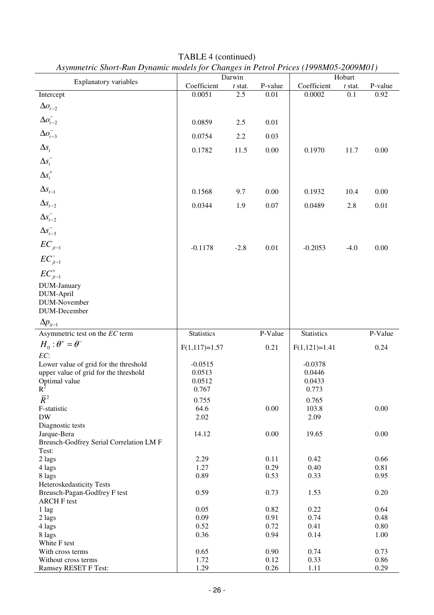| $\mu$ , $\mu$ , $\mu$ , $\mu$ , $\mu$ , $\mu$ , $\mu$ , $\mu$ , $\mu$ , $\mu$ , $\mu$ , $\mu$ , $\mu$ , $\mu$ , $\mu$ , $\mu$ , $\mu$ , $\mu$ , $\mu$ , $\mu$ , $\mu$ , $\mu$ , $\mu$ , $\mu$ , $\mu$ , $\mu$ , $\mu$ , $\mu$ , $\mu$ , $\mu$ , $\mu$ , $\mu$ |                 | Darwin    |         |                 | Hobart    |         |
|---------------------------------------------------------------------------------------------------------------------------------------------------------------------------------------------------------------------------------------------------------------|-----------------|-----------|---------|-----------------|-----------|---------|
| Explanatory variables                                                                                                                                                                                                                                         | Coefficient     | $t$ stat. | P-value | Coefficient     | $t$ stat. | P-value |
| Intercept                                                                                                                                                                                                                                                     | 0.0051          | 2.5       | 0.01    | 0.0002          | 0.1       | 0.92    |
|                                                                                                                                                                                                                                                               |                 |           |         |                 |           |         |
| $\Delta o_{t-2}$                                                                                                                                                                                                                                              |                 |           |         |                 |           |         |
| $\Delta o^-_{t-2}$                                                                                                                                                                                                                                            | 0.0859          | 2.5       | 0.01    |                 |           |         |
| $\Delta o_{t-3}^-$                                                                                                                                                                                                                                            | 0.0754          | 2.2       | 0.03    |                 |           |         |
| $\Delta s_t$                                                                                                                                                                                                                                                  |                 |           |         |                 |           |         |
|                                                                                                                                                                                                                                                               | 0.1782          | 11.5      | 0.00    | 0.1970          | 11.7      | 0.00    |
| $\Delta s_t^-$                                                                                                                                                                                                                                                |                 |           |         |                 |           |         |
| $\Delta s_t^+$                                                                                                                                                                                                                                                |                 |           |         |                 |           |         |
| $\Delta s_{t-1}$                                                                                                                                                                                                                                              | 0.1568          | 9.7       | 0.00    | 0.1932          | 10.4      | 0.00    |
| $\Delta s_{\textit{t}-2}$                                                                                                                                                                                                                                     | 0.0344          | 1.9       | 0.07    | 0.0489          | 2.8       | 0.01    |
|                                                                                                                                                                                                                                                               |                 |           |         |                 |           |         |
| $\Delta s_{t-2}^{-}$<br>$\Delta s_{t-3}^{-}$                                                                                                                                                                                                                  |                 |           |         |                 |           |         |
| $EC_{jt-1}$                                                                                                                                                                                                                                                   |                 |           |         |                 |           |         |
| $EC_{it-1}^-$                                                                                                                                                                                                                                                 | $-0.1178$       | $-2.8$    | 0.01    | $-0.2053$       | $-4.0$    | 0.00    |
|                                                                                                                                                                                                                                                               |                 |           |         |                 |           |         |
| $EC^+_{j t-1}$                                                                                                                                                                                                                                                |                 |           |         |                 |           |         |
| DUM-January                                                                                                                                                                                                                                                   |                 |           |         |                 |           |         |
| DUM-April                                                                                                                                                                                                                                                     |                 |           |         |                 |           |         |
| DUM-November                                                                                                                                                                                                                                                  |                 |           |         |                 |           |         |
| DUM-December                                                                                                                                                                                                                                                  |                 |           |         |                 |           |         |
| $\Delta p_{it-1}$                                                                                                                                                                                                                                             |                 |           |         |                 |           |         |
| Asymmetric test on the EC term                                                                                                                                                                                                                                | Statistics      |           | P-Value | Statistics      |           | P-Value |
| $H_0$ : $\theta^+ = \theta^-$                                                                                                                                                                                                                                 | $F(1,117)=1.57$ |           | 0.21    | $F(1,121)=1.41$ |           | 0.24    |
| EC:                                                                                                                                                                                                                                                           |                 |           |         |                 |           |         |
| Lower value of grid for the threshold                                                                                                                                                                                                                         | $-0.0515$       |           |         | $-0.0378$       |           |         |
| upper value of grid for the threshold                                                                                                                                                                                                                         | 0.0513          |           |         | 0.0446          |           |         |
| Optimal value                                                                                                                                                                                                                                                 | 0.0512          |           |         | 0.0433          |           |         |
| $R^2$                                                                                                                                                                                                                                                         | 0.767           |           |         | 0.773           |           |         |
| $\overline{R}^2$                                                                                                                                                                                                                                              | 0.755           |           |         | 0.765           |           |         |
| F-statistic                                                                                                                                                                                                                                                   | 64.6            |           | 0.00    | 103.8           |           | 0.00    |
| $\rm{DW}$                                                                                                                                                                                                                                                     | 2.02            |           |         | 2.09            |           |         |
| Diagnostic tests                                                                                                                                                                                                                                              |                 |           |         |                 |           |         |
| Jarque-Bera                                                                                                                                                                                                                                                   | 14.12           |           | 0.00    | 19.65           |           | 0.00    |
| Breusch-Godfrey Serial Correlation LM F                                                                                                                                                                                                                       |                 |           |         |                 |           |         |
| Test:                                                                                                                                                                                                                                                         |                 |           |         |                 |           |         |
| 2 lags                                                                                                                                                                                                                                                        | 2.29            |           | 0.11    | 0.42            |           | 0.66    |
| 4 lags                                                                                                                                                                                                                                                        | 1.27            |           | 0.29    | 0.40            |           | 0.81    |
| 8 lags                                                                                                                                                                                                                                                        | 0.89            |           | 0.53    | 0.33            |           | 0.95    |
| Heteroskedasticity Tests                                                                                                                                                                                                                                      |                 |           |         |                 |           |         |
| Breusch-Pagan-Godfrey F test                                                                                                                                                                                                                                  | 0.59            |           | 0.73    | 1.53            |           | 0.20    |
| <b>ARCH F test</b>                                                                                                                                                                                                                                            |                 |           |         |                 |           |         |
| 1 lag                                                                                                                                                                                                                                                         | 0.05            |           | 0.82    | 0.22            |           | 0.64    |
| 2 lags                                                                                                                                                                                                                                                        | 0.09            |           | 0.91    | 0.74            |           | 0.48    |
| 4 lags                                                                                                                                                                                                                                                        | 0.52            |           | 0.72    | 0.41            |           | 0.80    |
| 8 lags                                                                                                                                                                                                                                                        | 0.36            |           | 0.94    | 0.14            |           | 1.00    |
| White F test                                                                                                                                                                                                                                                  |                 |           |         |                 |           |         |
| With cross terms                                                                                                                                                                                                                                              | 0.65            |           | 0.90    | 0.74            |           | 0.73    |
| Without cross terms                                                                                                                                                                                                                                           | 1.72            |           | 0.12    | 0.33            |           | 0.86    |
| Ramsey RESET F Test:                                                                                                                                                                                                                                          | 1.29            |           | 0.26    | 1.11            |           | 0.29    |

TABLE 4 (continued) *Asymmetric Short-Run Dynamic models for Changes in Petrol Prices (1998M05-2009M01)*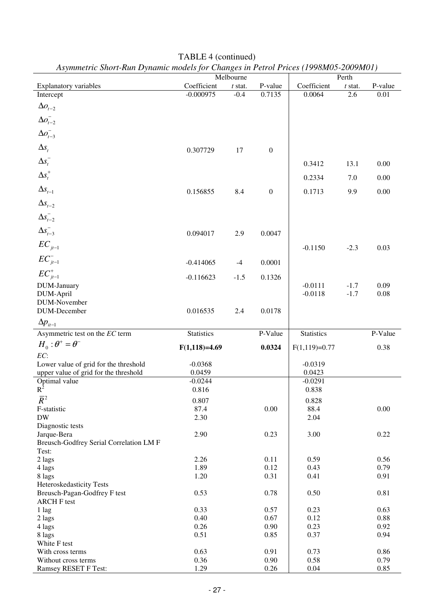| $\mu$ , and $\mu$ and $\mu$ and $\mu$ and $\mu$ and $\mu$ and $\mu$ and $\mu$ and $\mu$ and $\mu$ and $\mu$ and $\mu$ |                   | Melbourne           |                  |                   |                    |              |
|-----------------------------------------------------------------------------------------------------------------------|-------------------|---------------------|------------------|-------------------|--------------------|--------------|
| <b>Explanatory variables</b>                                                                                          | Coefficient       |                     | P-value          | Coefficient       | Perth<br>$t$ stat. | P-value      |
| Intercept                                                                                                             | $-0.000975$       | $t$ stat.<br>$-0.4$ | 0.7135           | 0.0064            | 2.6                | 0.01         |
|                                                                                                                       |                   |                     |                  |                   |                    |              |
| $\Delta o_{t-2}$                                                                                                      |                   |                     |                  |                   |                    |              |
| $\Delta o_{t-2}^-$                                                                                                    |                   |                     |                  |                   |                    |              |
| $\Delta o_{t-3}^-$                                                                                                    |                   |                     |                  |                   |                    |              |
| $\Delta s_{t}$                                                                                                        | 0.307729          | 17                  | $\boldsymbol{0}$ |                   |                    |              |
| $\Delta s_t^-$                                                                                                        |                   |                     |                  | 0.3412            | 13.1               | 0.00         |
| $\Delta s_t^+$                                                                                                        |                   |                     |                  | 0.2334            | 7.0                | 0.00         |
| $\Delta s_{t-1}$                                                                                                      | 0.156855          | 8.4                 | $\boldsymbol{0}$ | 0.1713            | 9.9                | 0.00         |
| $\Delta s_{t-2}$                                                                                                      |                   |                     |                  |                   |                    |              |
|                                                                                                                       |                   |                     |                  |                   |                    |              |
| $\Delta s_{t-2}^{-}$<br>$\Delta s_{t-3}^{-}$                                                                          |                   |                     |                  |                   |                    |              |
|                                                                                                                       | 0.094017          | 2.9                 | 0.0047           |                   |                    |              |
| $EC_{jt-1}$                                                                                                           |                   |                     |                  | $-0.1150$         | $-2.3$             | 0.03         |
| $EC_{jt-1}^-$                                                                                                         | $-0.414065$       | $-4$                | 0.0001           |                   |                    |              |
| ${\cal EC}^+_{jt-1}$                                                                                                  | $-0.116623$       | $-1.5$              | 0.1326           |                   |                    |              |
| DUM-January                                                                                                           |                   |                     |                  | $-0.0111$         | $-1.7$             | 0.09         |
| DUM-April                                                                                                             |                   |                     |                  | $-0.0118$         | $-1.7$             | 0.08         |
| DUM-November                                                                                                          |                   |                     |                  |                   |                    |              |
| DUM-December                                                                                                          | 0.016535          | 2.4                 | 0.0178           |                   |                    |              |
| $\Delta p_{it-1}$                                                                                                     |                   |                     |                  |                   |                    |              |
| Asymmetric test on the EC term                                                                                        | <b>Statistics</b> |                     | P-Value          | <b>Statistics</b> |                    | P-Value      |
| $H_0$ : $\theta^+ = \theta^-$                                                                                         | $F(1,118)=4.69$   |                     | 0.0324           | $F(1,119)=0.77$   |                    | 0.38         |
| EC:                                                                                                                   |                   |                     |                  |                   |                    |              |
| Lower value of grid for the threshold                                                                                 | $-0.0368$         |                     |                  | $-0.0319$         |                    |              |
| upper value of grid for the threshold                                                                                 | 0.0459            |                     |                  | 0.0423            |                    |              |
| Optimal value                                                                                                         | $-0.0244$         |                     |                  | $-0.0291$         |                    |              |
| $R^2$                                                                                                                 | 0.816             |                     |                  | 0.838             |                    |              |
| $\overline{R}^2$                                                                                                      | 0.807             |                     |                  | 0.828             |                    |              |
| F-statistic                                                                                                           | 87.4              |                     | 0.00             | 88.4              |                    | 0.00         |
| <b>DW</b>                                                                                                             | 2.30              |                     |                  | 2.04              |                    |              |
| Diagnostic tests                                                                                                      |                   |                     |                  |                   |                    |              |
| Jarque-Bera                                                                                                           | 2.90              |                     | 0.23             | 3.00              |                    | 0.22         |
| Breusch-Godfrey Serial Correlation LM F                                                                               |                   |                     |                  |                   |                    |              |
| Test:                                                                                                                 |                   |                     |                  |                   |                    |              |
| 2 lags                                                                                                                | 2.26              |                     | 0.11             | 0.59              |                    | 0.56         |
| 4 lags                                                                                                                | 1.89              |                     | 0.12             | 0.43              |                    | 0.79         |
| 8 lags                                                                                                                | 1.20              |                     | 0.31             | 0.41              |                    | 0.91         |
| Heteroskedasticity Tests                                                                                              |                   |                     |                  |                   |                    |              |
| Breusch-Pagan-Godfrey F test                                                                                          | 0.53              |                     | 0.78             | 0.50              |                    | $0.81\,$     |
| <b>ARCH F test</b>                                                                                                    |                   |                     |                  |                   |                    |              |
| 1 lag                                                                                                                 | 0.33              |                     | 0.57             | 0.23              |                    | 0.63         |
| 2 lags                                                                                                                | 0.40              |                     | 0.67             | 0.12              |                    | 0.88         |
| 4 lags                                                                                                                | 0.26              |                     | 0.90             | 0.23              |                    | 0.92         |
|                                                                                                                       |                   |                     |                  |                   |                    |              |
| 8 lags                                                                                                                | 0.51              |                     | 0.85             | 0.37              |                    | 0.94         |
| White F test                                                                                                          |                   |                     |                  |                   |                    |              |
| With cross terms                                                                                                      | 0.63              |                     | 0.91             | 0.73              |                    | 0.86         |
| Without cross terms                                                                                                   | 0.36<br>1.29      |                     | 0.90<br>0.26     | 0.58              |                    | 0.79<br>0.85 |

TABLE 4 (continued) *Asymmetric Short-Run Dynamic models for Changes in Petrol Prices (1998M05-2009M01)*